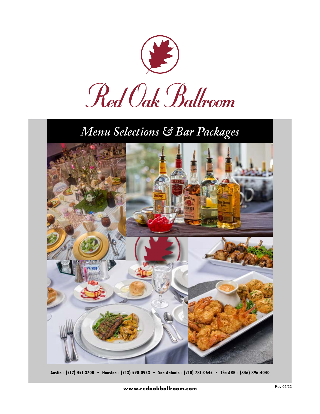

# *Menu Selections & Bar Packages*



**Austin - (512) 451-3700 • Houston - (713) 590-0953 • San Antonio - (210) 731-0645 • The ARK - (346) 396-4040**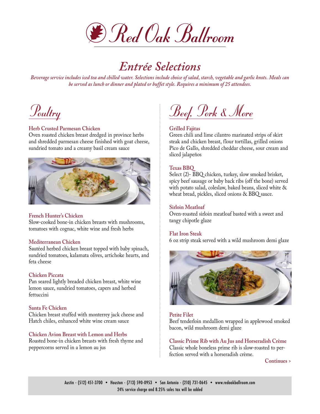

# *Entrée Selections*

*Beverage service includes iced tea and chilled water. Selections include choice of salad, starch, vegetable and garlic knots. Meals can be served as lunch or dinner and plated or buffet style. Requires a minimum of 25 attendees.*



## **Herb Crusted Parmesan Chicken**

Oven roasted chicken breast dredged in province herbs and shredded parmesan cheese finished with goat cheese, sundried tomato and a creamy basil cream sauce



#### **French Hunter's Chicken**

Slow-cooked bone-in chicken breasts with mushrooms, tomatoes with cognac, white wine and fresh herbs

#### **Mediterranean Chicken**

Sautéed herbed chicken breast topped with baby spinach, sundried tomatoes, kalamata olives, artichoke hearts, and feta cheese

#### **Chicken Piccata**

Pan seared lightly breaded chicken breast, white wine lemon sauce, sundried tomatoes, capers and herbed fettuccini

#### **Santa Fe Chicken**

Chicken breast stuffed with monterrey jack cheese and Hatch chiles, enhanced white wine cream sauce

#### **Chicken Avion Breast with Lemon and Herbs**

Roasted bone-in chicken breasts with fresh thyme and peppercorns served in a lemon au jus

Beef, Pork & More

#### **Grilled Fajitas**

Green chili and lime cilantro marinated strips of skirt steak and chicken breast, flour tortillas, grilled onions Pico de Gallo, shredded cheddar cheese, sour cream and sliced jalapeños

#### **Texas BBQ**

Select (2)- BBQ chicken, turkey, slow smoked brisket, spicy beef sausage or baby back ribs (off the bone) served with potato salad, coleslaw, baked beans, sliced white & wheat bread, pickles, sliced onions & BBQ sauce.

#### **Sirloin Meatloaf**

Oven-roasted sirloin meatloaf basted with a sweet and tangy chipotle glaze

#### **Flat Iron Steak**

6 oz strip steak served with a wild mushroom demi glaze



#### **Petite Filet**

Beef tenderloin medallion wrapped in applewood smoked bacon, wild mushroom demi glaze

**Classic Prime Rib with Au Jus and Horseradish Crème** Classic whole boneless prime rib is slow-roasted to perfection served with a horseradish crème.

**Continues >**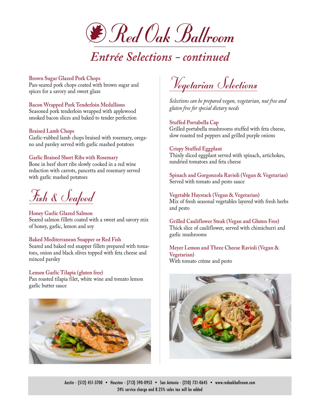

# *Entrée Selections - continued*

## **Brown Sugar Glazed Pork Chops**

Pan-seared pork chops coated with brown sugar and spices for a savory and sweet glaze

# **Bacon Wrapped Pork Tenderloin Medallions**

Seasoned pork tenderloin wrapped with applewood smoked bacon slices and baked to tender perfection

## **Braised Lamb Chops**

Garlic-rubbed lamb chops braised with rosemary, oregano and parsley served with garlic mashed potatoes

## **Garlic Braised Short Ribs with Rosemary**

Bone in beef short ribs slowly cooked in a red wine reduction with carrots, pancetta and rosemary served with garlic mashed potatoes

Fish & Seafood

**Honey Garlic Glazed Salmon**  Seared salmon fillets coated with a sweet and savory mix of honey, garlic, lemon and soy

#### **Baked Mediterranean Snapper or Red Fish**

Seared and baked red snapper fillets prepared with tomatoes, onion and black olives topped with feta cheese and minced parsley

## **Lemon Garlic Tilapia (gluten free)**

Pan roasted tilapia filet, white wine and tomato lemon garlic butter sauce



Vegetarian <u>Selections</u>

*Selections can be prepared vegan, vegetarian, nut free and gluten free for special dietary needs*

## **Stuffed Portabella Cap**

Grilled portabella mushrooms stuffed with feta cheese, slow roasted red peppers and grilled purple onions

## **Crispy Stuffed Eggplant**

Thinly sliced eggplant served with spinach, artichokes, sundried tomatoes and feta cheese

**Spinach and Gorgonzola Ravioli (Vegan & Vegetarian)** Served with tomato and pesto sauce

**Vegetable Haystack (Vegan & Vegetarian)** Mix of fresh seasonal vegetables layered with fresh herbs and pesto

**Grilled Cauliflower Steak (Vegan and Gluten Free)** Thick slice of cauliflower, served with chimichurri and garlic mushrooms

**Meyer Lemon and Three Cheese Ravioli (Vegan & Vegetarian)** With tomato crème and pesto

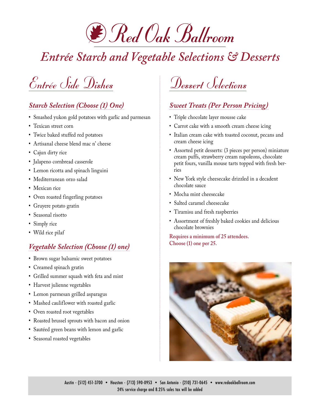

# *Entrée Starch and Vegetable Selections & Desserts*

Entrée Side Dishes

# *Starch Selection (Choose (1) One)*

- **•** Smashed yukon gold potatoes with garlic and parmesan
- **•** Texican street corn
- **•** Twice baked stuffed red potatoes
- **•** Artisanal cheese blend mac n' cheese
- **•** Cajun dirty rice
- **•** Jalapeno cornbread casserole
- **•** Lemon ricotta and spinach linguini
- **•** Mediterranean orzo salad
- **•** Mexican rice
- **•** Oven roasted fingerling potatoes
- **•** Gruyere potato gratin
- **•** Seasonal risotto
- **•** Simply rice
- **•** Wild rice pilaf

# *Vegetable Selection (Choose (1) one)*

- **•** Brown sugar balsamic sweet potatoes
- **•** Creamed spinach gratin
- **•** Grilled summer squash with feta and mint
- **•** Harvest julienne vegetables
- **•** Lemon parmesan grilled asparagus
- **•** Mashed cauliflower with roasted garlic
- **•** Oven roasted root vegetables
- **•** Roasted brussel sprouts with bacon and onion
- **•** Sautéed green beans with lemon and garlic
- **•** Seasonal roasted vegetables

# Dessert Selections

# *Sweet Treats (Per Person Pricing)*

- Triple chocolate layer mousse cake
- Carrot cake with a smooth cream cheese icing
- Italian cream cake with toasted coconut, pecans and cream cheese icing
- Assorted petit desserts: (3 pieces per person) miniature cream puffs, strawberry cream napoleons, chocolate petit fours, vanilla mouse tarts topped with fresh berries
- New York style cheesecake drizzled in a decadent chocolate sauce
- Mocha mint cheesecake
- Salted caramel cheesecake
- Tiramisu and fresh raspberries
- Assortment of freshly baked cookies and delicious chocolate brownies

**Requires a minimum of 25 attendees. Choose (1) one per 25.**

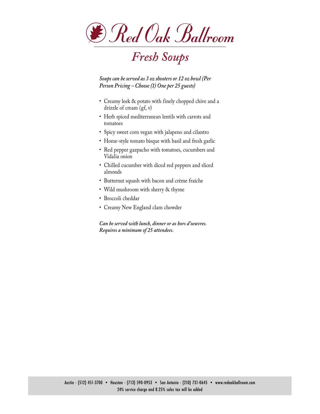

# *Fresh Soups*

*Soups can be served as 3 oz shooters or 12 oz bowl (Per Person Pricing – Choose (1) One per 25 guests)*

- Creamy leek & potato with finely chopped chive and a drizzle of cream (gf, v)
- Herb spiced mediterranean lentils with carrots and tomatoes
- Spicy sweet corn vegan with jalapeno and cilantro
- Home-style tomato bisque with basil and fresh garlic
- Red pepper gazpacho with tomatoes, cucumbers and Vidalia onion
- Chilled cucumber with diced red peppers and sliced almonds
- Butternut squash with bacon and crème fraîche
- Wild mushroom with sherry & thyme
- Broccoli cheddar
- Creamy New England clam chowder

*Can be served with lunch, dinner or as hors d'oeuvres. Requires a minimum of 25 attendees.*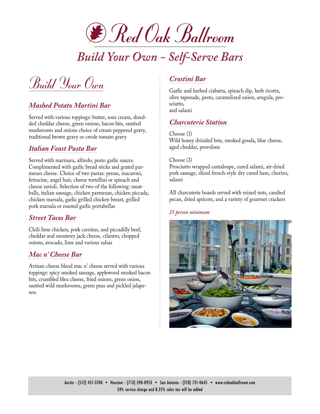

*Build Your Own - Self-Serve Bars*

Build Your Own

# *Mashed Potato Martini Bar*

Served with various toppings: butter, sour cream, shredded cheddar cheese, green onions, bacon bits, sautéed mushrooms and onions choice of cream peppered gravy, traditional brown gravy or creole tomato gravy

# *Italian Feast Pasta Bar*

Served with marinara, alfredo, pesto garlic sauces. Complimented with garlic bread sticks and grated parmesan cheese. Choice of two pastas: penne, macaroni, fettucine, angel hair, cheese tortellini or spinach and cheese ravioli. Selection of two of the following: meatballs, italian sausage, chicken parmesan, chicken piccada, chicken marsala, garlic grilled chicken breast, grilled pork marsala or roasted garlic portabellas

# *Street Tacos Bar*

Chili lime chicken, pork carnitas, and piccadilly beef, cheddar and monterey jack cheese, cilantro, chopped onions, avocado, lime and various salsas

# *Mac n' Cheese Bar*

Artisan cheese blend mac n' cheese served with various toppings: spicy smoked sausage, applewood smoked bacon bits, crumbled bleu cheese, fried onions, green onion, sautéed wild mushrooms, green peas and pickled jalapenos.

# *Crostini Bar*

Garlic and herbed ciabatta, spinach dip, herb ricotta, olive tapenade, pesto, caramelized onion, arugula, prosciutto, and salami

# *Charcuterie Station*

Choose (3) Wild honey drizzled brie, smoked gouda, blue cheese, aged cheddar, provolone

#### Choose (3)

Prosciutto wrapped cantaloupe, cured salami, air-dried pork sausage, sliced french-style dry cured ham, chorizo, salami

All charcuterie boards served with mixed nuts, candied pecan, dried apricots, and a variety of gourmet crackers

#### *25 person minimum*

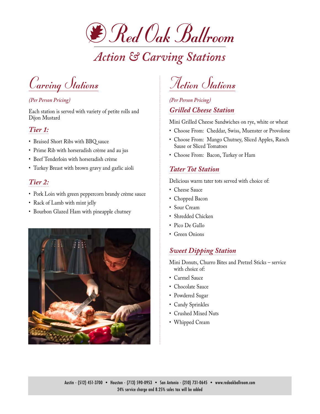

# *Action & Carving Stations*

Carving Stations

# *(Per Person Pricing)*

Each station is served with variety of petite rolls and Dijon Mustard

# *Tier 1:*

- Braised Short Ribs with BBQ sauce
- Prime Rib with horseradish crème and au jus
- Beef Tenderloin with horseradish crème
- Turkey Breast with brown gravy and garlic aioli

# *Tier 2:*

- Pork Loin with green peppercorn brandy crème sauce
- Rack of Lamb with mint jelly
- Bourbon Glazed Ham with pineapple chutney



Action Stations

# *(Per Person Pricing) Grilled Cheese Station*

Mini Grilled Cheese Sandwiches on rye, white or wheat

- Choose From: Cheddar, Swiss, Muenster or Provolone
- Choose From: Mango Chutney, Sliced Apples, Ranch Sause or Sliced Tomatoes
- Choose From: Bacon, Turkey or Ham

# *Tater Tot Station*

Delicious warm tater tots served with choice of:

- Cheese Sauce
- Chopped Bacon
- Sour Cream
- Shredded Chicken
- Pico De Gallo
- Green Onions

# *Sweet Dipping Station*

Mini Donuts, Churro Bites and Pretzel Sticks – service with choice of:

- Carmel Sauce
- Chocolate Sauce
- Powdered Sugar
- Candy Sprinkles
- Crushed Mixed Nuts
- Whipped Cream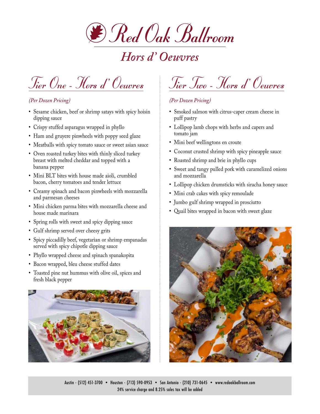

# *Hors d' Oeuvres*

Tier One - Hors d' Oeuvres

# *(Per Dozen Pricing)*

- **•** Sesame chicken, beef or shrimp satays with spicy hoisin dipping sauce
- **•** Crispy stuffed asparagus wrapped in phyllo
- **•** Ham and gruyere pinwheels with poppy seed glaze
- **•** Meatballs with spicy tomato sauce or sweet asian sauce
- **•** Oven roasted turkey bites with thinly sliced turkey breast with melted cheddar and topped with a banana pepper
- **•** Mini BLT bites with house made aioli, crumbled bacon, cherry tomatoes and tender lettuce
- **•** Creamy spinach and bacon pinwheels with mozzarella and parmesan cheeses
- **•** Mini chicken parma bites with mozzarella cheese and house made marinara
- **•** Spring rolls with sweet and spicy dipping sauce
- **•** Gulf shrimp served over cheesy grits
- **•** Spicy piccadilly beef, vegetarian or shrimp empanadas served with spicy chipotle dipping sauce
- **•** Phyllo wrapped cheese and spinach spanakopita
- **•** Bacon wrapped, bleu cheese stuffed dates
- **•** Toasted pine nut hummus with olive oil, spices and fresh black pepper



# Tier Two - Hors d' Oeuvres

# *(Per Dozen Pricing)*

- **•** Smoked salmon with citrus-caper cream cheese in puff pastry
- **•** Lollipop lamb chops with herbs and capers and tomato jam
- Mini beef wellingtons en croute
- **•** Coconut crusted shrimp with spicy pineapple sauce
- **•** Roasted shrimp and brie in phyllo cups
- **•** Sweet and tangy pulled pork with caramelized onions and mozzarella
- **•** Lollipop chicken drumsticks with siracha honey sauce
- **•** Mini crab cakes with spicy remoulade
- **•** Jumbo gulf shrimp wrapped in prosciutto
- **•** Quail bites wrapped in bacon with sweet glaze

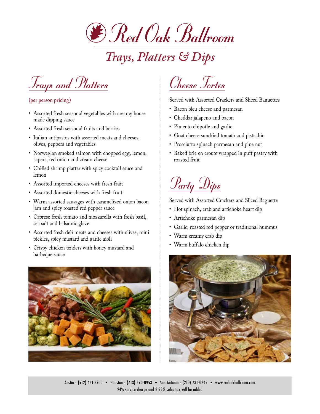

*Trays, Platters & Dips*



### **(per person pricing)**

- Assorted fresh seasonal vegetables with creamy house made dipping sauce
- Assorted fresh seasonal fruits and berries
- Italian antipastos with assorted meats and cheeses, olives, peppers and vegetables
- Norwegian smoked salmon with chopped egg, lemon, capers, red onion and cream cheese
- Chilled shrimp platter with spicy cocktail sauce and lemon
- Assorted imported cheeses with fresh fruit
- Assorted domestic cheeses with fresh fruit
- Warm assorted sausages with caramelized onion bacon jam and spicy roasted red pepper sauce
- Caprese fresh tomato and mozzarella with fresh basil, sea salt and balsamic glaze
- Assorted fresh deli meats and cheeses with olives, mini pickles, spicy mustard and garlic aioli
- Crispy chicken tenders with honey mustard and barbeque sauce



# Cheese Tortes

Served with Assorted Crackers and Sliced Baguettes

- Bacon bleu cheese and parmesan
- Cheddar jalapeno and bacon
- Pimento chipotle and garlic
- Goat cheese sundried tomato and pistachio
- Prosciutto spinach parmesan and pine nut
- Baked brie en croute wrapped in puff pastry with roasted fruit

# Party Dips

Served with Assorted Crackers and Sliced Baguette

- Hot spinach, crab and artichoke heart dip
- Artichoke parmesan dip
- Garlic, roasted red pepper or traditional hummus
- Warm creamy crab dip
- Warm buffalo chicken dip